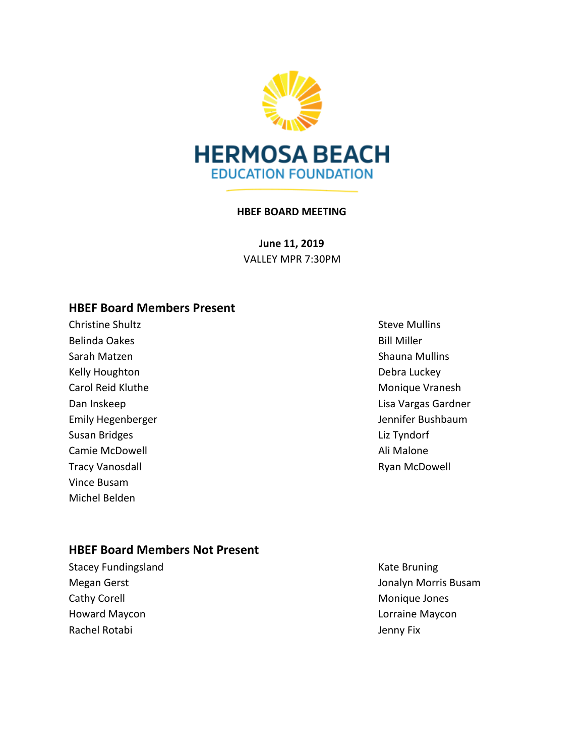

#### **HBEF BOARD MEETING**

**June 11, 2019** VALLEY MPR 7:30PM

## **HBEF Board Members Present**

**Christine Shultz** Christian Christian Christian Christian Christian Christian Christian Christian Christian Christian Christian Christian Christian Christian Christian Christian Christian Christian Christian Christian Chr Belinda Oakes and the settlement of the settlement of the Bill Miller Sarah Matzen Shauna Mullins Kelly Houghton **Debra Luckey** Carol Reid Kluthe Monique Vranesh Susan Bridges **Liz Tyndorf** Camie McDowell **Ali Malone** Ali Malone Ali Malone Tracy Vanosdall **Ryan McDowell** Ryan McDowell Vince Busam Michel Belden

Dan Inskeep **Lisa Vargas Gardner** Emily Hegenberger and Theorem Communications of the United States of the United States of the United States of the United States of the United States of the United States of the United States of the United States of the Un

#### **HBEF Board Members Not Present**

Stacey Fundingsland Kate Bruning Cathy Corell **Cathy Corell** Cathy Corell **Monique Jones** Howard Maycon Lorraine Maycon Rachel Rotabi **Jenny Fix** 

Megan Gerst Jonalyn Morris Busam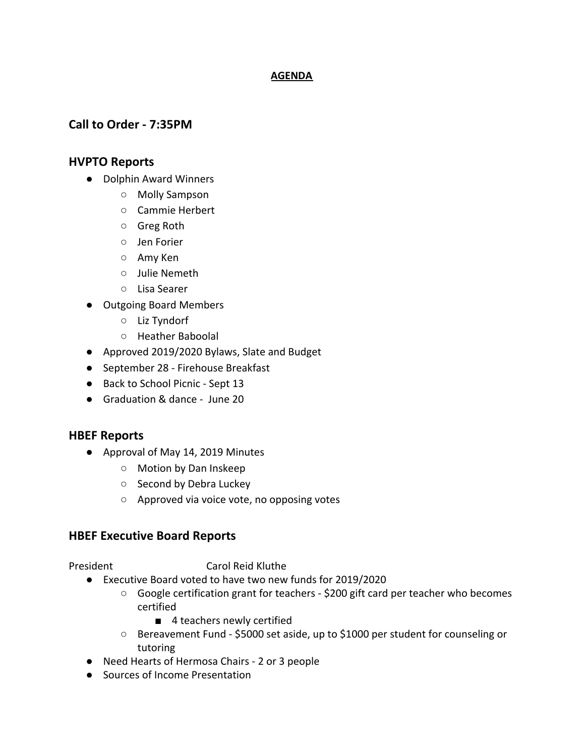#### **AGENDA**

## **Call to Order - 7:35PM**

#### **HVPTO Reports**

- Dolphin Award Winners
	- Molly Sampson
	- Cammie Herbert
	- Greg Roth
	- Jen Forier
	- Amy Ken
	- Julie Nemeth
	- Lisa Searer
- Outgoing Board Members
	- Liz Tyndorf
	- Heather Baboolal
- Approved 2019/2020 Bylaws, Slate and Budget
- September 28 Firehouse Breakfast
- Back to School Picnic Sept 13
- Graduation & dance June 20

#### **HBEF Reports**

- Approval of May 14, 2019 Minutes
	- Motion by Dan Inskeep
	- Second by Debra Luckey
	- Approved via voice vote, no opposing votes

#### **HBEF Executive Board Reports**

President Carol Reid Kluthe

- Executive Board voted to have two new funds for 2019/2020
	- Google certification grant for teachers \$200 gift card per teacher who becomes certified
		- 4 teachers newly certified
	- Bereavement Fund \$5000 set aside, up to \$1000 per student for counseling or tutoring
- Need Hearts of Hermosa Chairs 2 or 3 people
- Sources of Income Presentation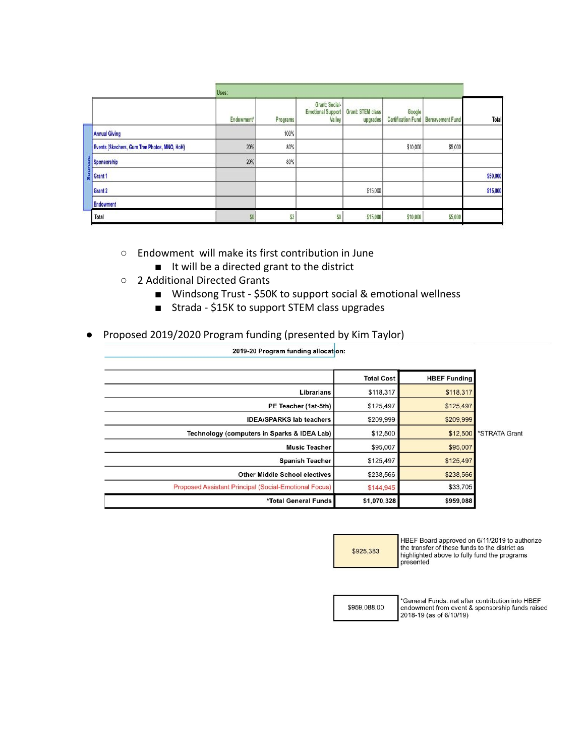|          |                                              | Uses:      |          |                                                      |                                      |          |                                              |          |
|----------|----------------------------------------------|------------|----------|------------------------------------------------------|--------------------------------------|----------|----------------------------------------------|----------|
|          |                                              | Endowment" | Programs | Grant: Social-<br><b>Emotional Support</b><br>Valley | <b>Grant: STEM class</b><br>upgrades | Google   | <b>Certification Fund   Bereavement Fund</b> | Total    |
| <b>U</b> | <b>Annual Giving</b>                         |            | 100%     |                                                      |                                      |          |                                              |          |
|          | Events (Skechers, Gum Tree Photos, MNO, HoH) | 20%        | 80%      |                                                      |                                      | \$10,000 | \$5,000                                      |          |
|          | Sponsorship                                  | 20%        | 80%      |                                                      |                                      |          |                                              |          |
|          | Grant 1                                      |            |          |                                                      |                                      |          |                                              | \$50,000 |
|          | Grant 2                                      |            |          |                                                      | \$15,000                             |          |                                              | \$15,000 |
|          | <b>Endowment</b>                             |            |          |                                                      |                                      |          |                                              |          |
|          | Total                                        | \$0        | \$3      | \$0                                                  | \$15,000                             | \$10,000 | \$5,000                                      |          |

- Endowment will make its first contribution in June
	- It will be a directed grant to the district
- 2 Additional Directed Grants
	- Windsong Trust \$50K to support social & emotional wellness
	- Strada \$15K to support STEM class upgrades

2019-20 Program funding allocaton:

● Proposed 2019/2020 Program funding (presented by Kim Taylor)

|                                                       | <b>Total Cost</b> | <b>HBEF Funding</b> |               |
|-------------------------------------------------------|-------------------|---------------------|---------------|
| Librarians                                            | \$118,317         | \$118,317           |               |
| PE Teacher (1st-5th)                                  | \$125,497         | \$125,497           |               |
| <b>IDEA/SPARKS lab teachers</b>                       | \$209,999         | \$209,999           |               |
| Technology (computers in Sparks & IDEA Lab)           | \$12,500          | \$12,500            | *STRATA Grant |
| <b>Music Teacher</b>                                  | \$95,007          | \$95,007            |               |
| <b>Spanish Teacher</b>                                | \$125,497         | \$125,497           |               |
| <b>Other Middle School electives</b>                  | \$238,566         | \$238,566           |               |
| Proposed Assistant Principal (Social-Emotional Focus) | \$144,945         | \$33,705            |               |
| *Total General Funds                                  | \$1,070,328       | \$959,088           |               |

\$925,383

HBEF Board approved on 6/11/2019 to authorize the transfer of these funds to the district as highlighted above to fully fund the programs presented

\$959,088.00

General Funds: net after contribution into HBEF endowment from event & sponsorship funds raised 2018-19 (as of 6/10/19)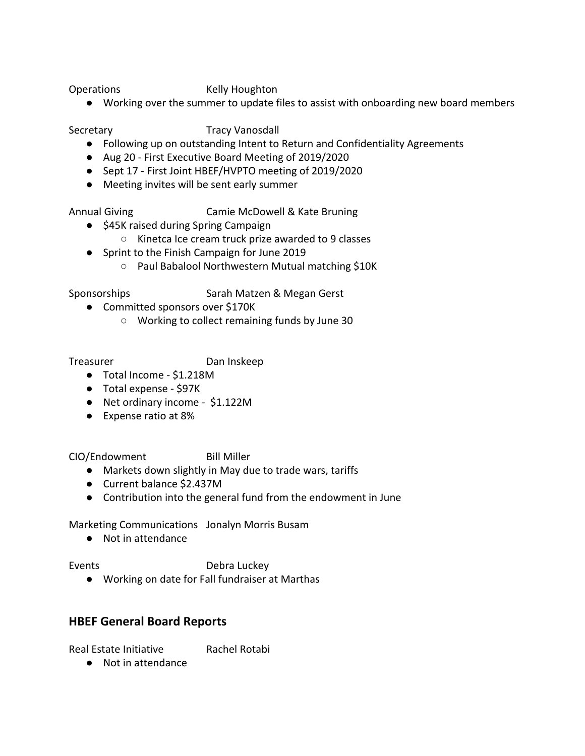Operations Kelly Houghton

● Working over the summer to update files to assist with onboarding new board members

Secretary Tracy Vanosdall

- Following up on outstanding Intent to Return and Confidentiality Agreements
- Aug 20 First Executive Board Meeting of 2019/2020
- Sept 17 First Joint HBEF/HVPTO meeting of 2019/2020
- Meeting invites will be sent early summer

Annual Giving Camie McDowell & Kate Bruning

- \$45K raised during Spring Campaign
	- Kinetca Ice cream truck prize awarded to 9 classes
- Sprint to the Finish Campaign for June 2019
	- Paul Babalool Northwestern Mutual matching \$10K

Sponsorships Sarah Matzen & Megan Gerst

- Committed sponsors over \$170K
	- Working to collect remaining funds by June 30

Treasurer Dan Inskeep

- Total Income \$1.218M
- Total expense \$97K
- Net ordinary income \$1.122M
- Expense ratio at 8%

CIO/Endowment Bill Miller

- Markets down slightly in May due to trade wars, tariffs
- Current balance \$2.437M
- Contribution into the general fund from the endowment in June

Marketing Communications Jonalyn Morris Busam

● Not in attendance

Events **Debra Luckey** 

● Working on date for Fall fundraiser at Marthas

## **HBEF General Board Reports**

Real Estate Initiative Rachel Rotabi

● Not in attendance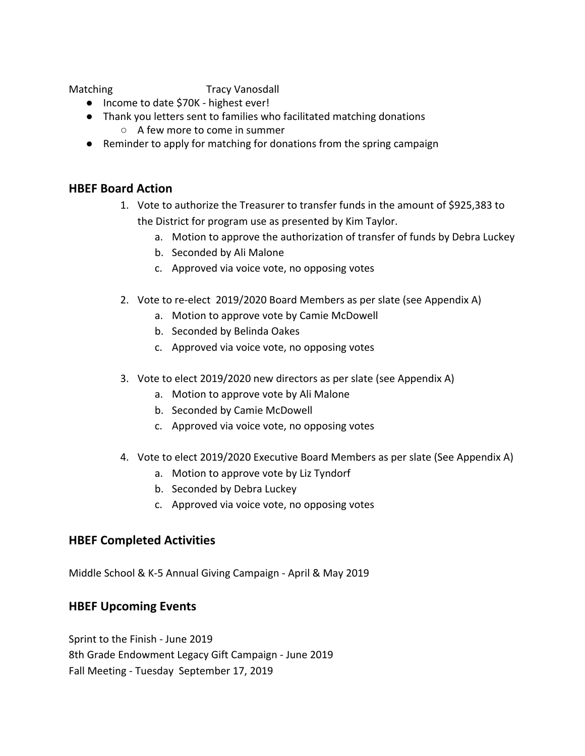Matching Tracy Vanosdall

- Income to date \$70K highest ever!
- Thank you letters sent to families who facilitated matching donations ○ A few more to come in summer
- Reminder to apply for matching for donations from the spring campaign

## **HBEF Board Action**

- 1. Vote to authorize the Treasurer to transfer funds in the amount of \$925,383 to the District for program use as presented by Kim Taylor.
	- a. Motion to approve the authorization of transfer of funds by Debra Luckey
	- b. Seconded by Ali Malone
	- c. Approved via voice vote, no opposing votes
- 2. Vote to re-elect 2019/2020 Board Members as per slate (see Appendix A)
	- a. Motion to approve vote by Camie McDowell
	- b. Seconded by Belinda Oakes
	- c. Approved via voice vote, no opposing votes
- 3. Vote to elect 2019/2020 new directors as per slate (see Appendix A)
	- a. Motion to approve vote by Ali Malone
	- b. Seconded by Camie McDowell
	- c. Approved via voice vote, no opposing votes
- 4. Vote to elect 2019/2020 Executive Board Members as per slate (See Appendix A)
	- a. Motion to approve vote by Liz Tyndorf
	- b. Seconded by Debra Luckey
	- c. Approved via voice vote, no opposing votes

## **HBEF Completed Activities**

Middle School & K-5 Annual Giving Campaign - April & May 2019

### **HBEF Upcoming Events**

Sprint to the Finish - June 2019 8th Grade Endowment Legacy Gift Campaign - June 2019 Fall Meeting - Tuesday September 17, 2019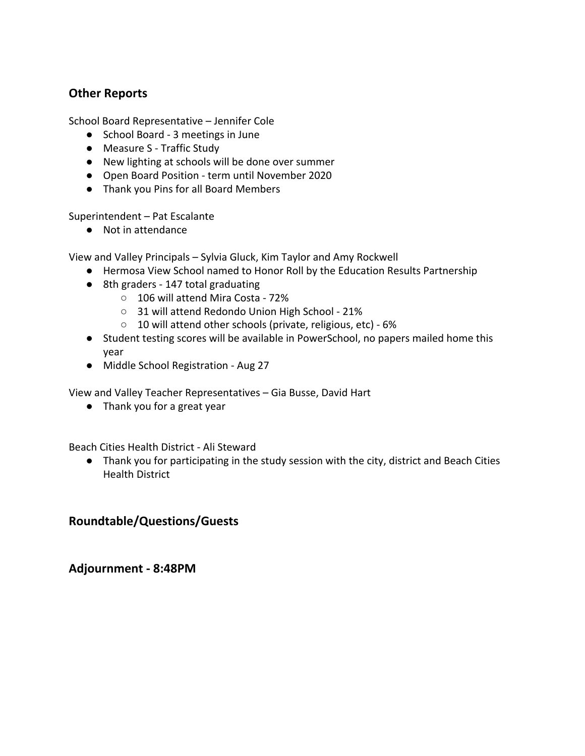# **Other Reports**

School Board Representative – Jennifer Cole

- School Board 3 meetings in June
- Measure S Traffic Study
- New lighting at schools will be done over summer
- Open Board Position term until November 2020
- Thank you Pins for all Board Members

Superintendent – Pat Escalante

● Not in attendance

View and Valley Principals – Sylvia Gluck, Kim Taylor and Amy Rockwell

- Hermosa View School named to Honor Roll by the Education Results Partnership
- 8th graders 147 total graduating
	- 106 will attend Mira Costa 72%
	- 31 will attend Redondo Union High School 21%
	- 10 will attend other schools (private, religious, etc) 6%
- Student testing scores will be available in PowerSchool, no papers mailed home this year
- Middle School Registration Aug 27

View and Valley Teacher Representatives – Gia Busse, David Hart

● Thank you for a great year

Beach Cities Health District - Ali Steward

● Thank you for participating in the study session with the city, district and Beach Cities Health District

## **Roundtable/Questions/Guests**

**Adjournment - 8:48PM**